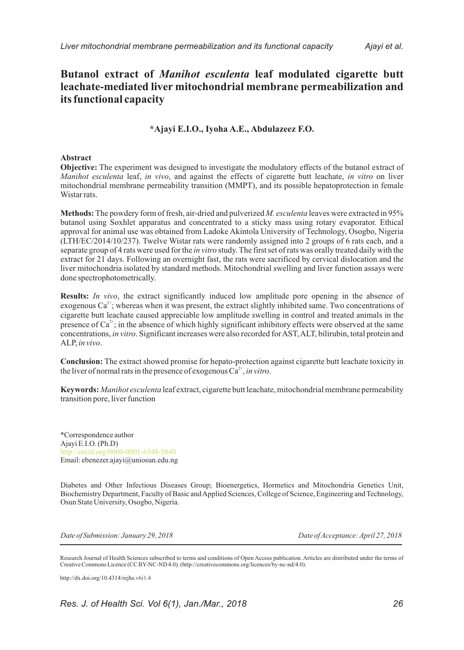# **Butanol extract of** *Manihot esculenta* **leaf modulated cigarette butt leachate-mediated liver mitochondrial membrane permeabilization and its functional capacity**

## **\*Ajayi E.I.O., Iyoha A.E., Abdulazeez F.O.**

### **Abstract**

**Objective:** The experiment was designed to investigate the modulatory effects of the butanol extract of *Manihot esculenta* leaf, *in vivo*, and against the effects of cigarette butt leachate, *in vitro* on liver mitochondrial membrane permeability transition (MMPT), and its possible hepatoprotection in female Wistar rats.

**Methods:**The powdery form of fresh, air-dried and pulverized *M. esculenta* leaves were extracted in 95% butanol using Soxhlet apparatus and concentrated to a sticky mass using rotary evaporator. Ethical approval for animal use was obtained from Ladoke Akintola University of Technology, Osogbo, Nigeria (LTH/EC/2014/10/237). Twelve Wistar rats were randomly assigned into 2 groups of 6 rats each, and a separate group of 4 rats were used for the *in vitro* study. The first set of rats was orally treated daily with the extract for 21 days. Following an overnight fast, the rats were sacrificed by cervical dislocation and the liver mitochondria isolated by standard methods. Mitochondrial swelling and liver function assays were done spectrophotometrically.

**Results:** *In vivo*, the extract significantly induced low amplitude pore opening in the absence of exogenous  $Ca^{2+}$ ; whereas when it was present, the extract slightly inhibited same. Two concentrations of cigarette butt leachate caused appreciable low amplitude swelling in control and treated animals in the presence of  $Ca^{2+}$ ; in the absence of which highly significant inhibitory effects were observed at the same concentrations, *in vitro*. Significant increases were also recorded for AST, ALT, bilirubin, total protein and ALP, *in vivo*.

**Conclusion:** The extract showed promise for hepato-protection against cigarette butt leachate toxicity in the liver of normal rats in the presence of exogenous  $Ca^{2+}$ , *in vitro*.

**Keywords:** *Manihot esculenta* leaf extract, cigarette butt leachate, mitochondrial membrane permeability transition pore, liver function

\*Correspondence author Ajayi E.I.O. (Ph.D) Email: ebenezer.ajayi@uniosun.edu.ng http://orcid.org/0000-0001-6348-5840

Diabetes and Other Infectious Diseases Group; Bioenergetics, Hormetics and Mitochondria Genetics Unit, Biochemistry Department, Faculty of Basic and Applied Sciences, College of Science, Engineering and Technology, Osun State University, Osogbo, Nigeria.

*Date of Submission: January 29, 2018 Date of Acceptance: April 27, 2018*

Research Journal of Health Sciences subscribed to terms and conditions of Open Access publication. Articles are distributed under the terms of Creative Commons Licence (CC BY-NC-ND 4.0). (http://creativecommons.org/licences/by-nc-nd/4.0).

http://dx.doi.org/10.4314/rejhs.v6i1.4

*Res. J. of Health Sci. Vol 6(1), Jan./Mar., 2018 26*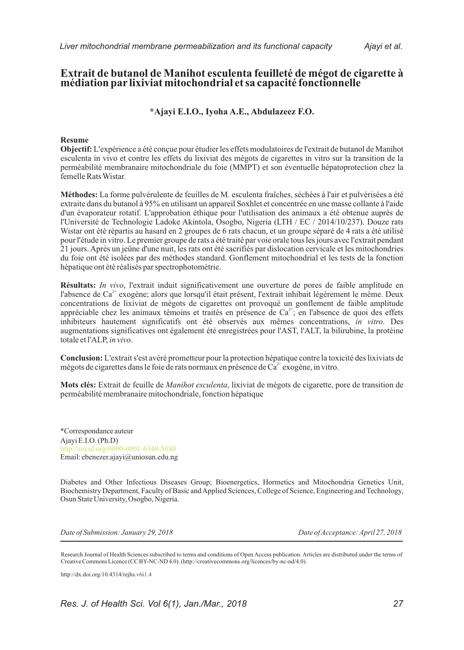# **Extrait de butanol de Manihot esculenta feuilleté de mégot de cigarette à médiation par lixiviat mitochondrial et sa capacité fonctionnelle**

## **\*Ajayi E.I.O., Iyoha A.E., Abdulazeez F.O.**

### **Resume**

**Objectif:** L'expérience a été conçue pour étudier les effets modulatoires de l'extrait de butanol de Manihot esculenta in vivo et contre les effets du lixiviat des mégots de cigarettes in vitro sur la transition de la perméabilité membranaire mitochondriale du foie (MMPT) et son éventuelle hépatoprotection chez la femelle Rats Wistar.

**Méthodes:** La forme pulvérulente de feuilles de M. esculenta fraîches, séchées à l'air et pulvérisées a été extraite dans du butanol à 95% en utilisant un appareil Soxhlet et concentrée en une masse collante à l'aide d'un évaporateur rotatif. L'approbation éthique pour l'utilisation des animaux a été obtenue auprès de l'Université de Technologie Ladoke Akintola, Osogbo, Nigeria (LTH / EC / 2014/10/237). Douze rats Wistar ont été répartis au hasard en 2 groupes de 6 rats chacun, et un groupe séparé de 4 rats a été utilisé pour l'étude in vitro. Le premier groupe de rats a été traité par voie orale tous les jours avec l'extrait pendant 21 jours. Après un jeûne d'une nuit, les rats ont été sacrifiés par dislocation cervicale et les mitochondries du foie ont été isolées par des méthodes standard. Gonflement mitochondrial et les tests de la fonction hépatique ont été réalisés par spectrophotométrie.

**Résultats:** *In vivo*, l'extrait induit significativement une ouverture de pores de faible amplitude en l'absence de Ca<sup>2+</sup> exogène; alors que lorsqu'il était présent, l'extrait inhibait légèrement le même. Deux concentrations de lixiviat de mégots de cigarettes ont provoqué un gonflement de faible amplitude appréciable chez les animaux témoins et traités en présence de  $Ca^{2+}$ ; en l'absence de quoi des effets inhibiteurs hautement significatifs ont été observés aux mêmes concentrations, *in vitro*. Des augmentations significatives ont également été enregistrées pour l'AST, l'ALT, la bilirubine, la protéine totale et l'ALP, *in vivo*.

**Conclusion:** L'extrait s'est avéré prometteur pour la protection hépatique contre la toxicité des lixiviats de mégots de cigarettes dans le foie de rats normaux en présence de  $\widehat{\text{Ca}}^{2+}$  exogène, in vitro.

**Mots clés:** Extrait de feuille de *Manihot esculenta*, lixiviat de mégots de cigarette, pore de transition de perméabilité membranaire mitochondriale, fonction hépatique

Ajayi E.I.O. (Ph.D) Email: ebenezer.ajayi@uniosun.edu.ng \*Correspondance auteur http://orcid.org/0000-0001-6348-5840

Diabetes and Other Infectious Diseases Group; Bioenergetics, Hormetics and Mitochondria Genetics Unit, Biochemistry Department, Faculty of Basic and Applied Sciences, College of Science, Engineering and Technology, Osun State University, Osogbo, Nigeria.

*Date of Submission: January 29, 2018 Date of Acceptance: April 27, 2018*

Research Journal of Health Sciences subscribed to terms and conditions of Open Access publication. Articles are distributed under the terms of Creative Commons Licence (CC BY-NC-ND 4.0). (http://creativecommons.org/licences/by-nc-nd/4.0).

http://dx.doi.org/10.4314/rejhs.v6i1.4

*Res. J. of Health Sci. Vol 6(1), Jan./Mar., 2018 27*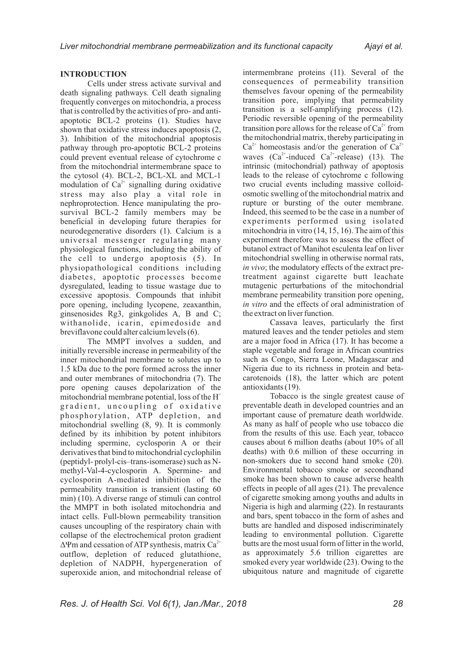#### **INTRODUCTION**

Cells under stress activate survival and death signaling pathways. Cell death signaling frequently converges on mitochondria, a process that is controlled by the activities of pro- and antiapoptotic BCL-2 proteins (1). Studies have shown that oxidative stress induces apoptosis (2, 3). Inhibition of the mitochondrial apoptosis pathway through pro-apoptotic BCL-2 proteins could prevent eventual release of cytochrome c from the mitochondrial intermembrane space to the cytosol (4). BCL-2, BCL-XL and MCL-1 modulation of  $Ca<sup>2+</sup>$  signalling during oxidative stress may also play a vital role in nephroprotection. Hence manipulating the prosurvival BCL-2 family members may be beneficial in developing future therapies for neurodegenerative disorders (1). Calcium is a universal messenger regulating many physiological functions, including the ability of the cell to undergo apoptosis (5). In physiopathological conditions including diabetes, apoptotic processes become dysregulated, leading to tissue wastage due to excessive apoptosis. Compounds that inhibit pore opening, including lycopene, zeaxanthin, ginsenosides Rg3, ginkgolides A, B and C; withanolide, icarin, epimedoside and breviflavone could alter calcium levels (6).

The MMPT involves a sudden, and initially reversible increase in permeability of the inner mitochondrial membrane to solutes up to 1.5 kDa due to the pore formed across the inner and outer membranes of mitochondria (7). The pore opening causes depolarization of the mitochondrial membrane potential, loss of the  $H^+$ gradient, uncoupling of oxidative phosphorylation, ATP depletion, and mitochondrial swelling (8, 9). It is commonly defined by its inhibition by potent inhibitors including spermine, cyclosporin A or their derivatives that bind to mitochondrial cyclophilin (peptidyl- prolyl-cis–trans-isomerase) such as Nmethyl-Val-4-cyclosporin A. Spermine- and cyclosporin A-mediated inhibition of the permeability transition is transient (lasting 60 min) (10). A diverse range of stimuli can control the MMPT in both isolated mitochondria and intact cells. Full-blown permeability transition causes uncoupling of the respiratory chain with collapse of the electrochemical proton gradient  $\Delta \Psi$ m and cessation of ATP synthesis, matrix Ca<sup>2+</sup> outflow, depletion of reduced glutathione, depletion of NADPH, hypergeneration of superoxide anion, and mitochondrial release of

intermembrane proteins (11). Several of the consequences of permeability transition themselves favour opening of the permeability transition pore, implying that permeability transition is a self-amplifying process (12). Periodic reversible opening of the permeability transition pore allows for the release of  $Ca<sup>2+</sup>$  from the mitochondrial matrix, thereby participating in  $Ca^{2+}$  homeostasis and/or the generation of  $Ca^{2+}$ waves  $(Ca^{2+}$ -induced  $Ca^{2+}$ -release) (13). The intrinsic (mitochondrial) pathway of apoptosis leads to the release of cytochrome c following two crucial events including massive colloidosmotic swelling of the mitochondrial matrix and rupture or bursting of the outer membrane. Indeed, this seemed to be the case in a number of experiments performed using isolated mitochondria in vitro (14, 15, 16). The aim of this experiment therefore was to assess the effect of butanol extract of Manihot esculenta leaf on liver mitochondrial swelling in otherwise normal rats, *in vivo*; the modulatory effects of the extract pretreatment against cigarette butt leachate mutagenic perturbations of the mitochondrial membrane permeability transition pore opening, *in vitro* and the effects of oral administration of the extract on liver function.

Cassava leaves, particularly the first matured leaves and the tender petioles and stem are a major food in Africa (17). It has become a staple vegetable and forage in African countries such as Congo, Sierra Leone, Madagascar and Nigeria due to its richness in protein and betacarotenoids (18), the latter which are potent antioxidants (19).

Tobacco is the single greatest cause of preventable death in developed countries and an important cause of premature death worldwide. As many as half of people who use tobacco die from the results of this use. Each year, tobacco causes about 6 million deaths (about 10% of all deaths) with 0.6 million of these occurring in non-smokers due to second hand smoke (20). Environmental tobacco smoke or secondhand smoke has been shown to cause adverse health effects in people of all ages (21). The prevalence of cigarette smoking among youths and adults in Nigeria is high and alarming (22). In restaurants and bars, spent tobacco in the form of ashes and butts are handled and disposed indiscriminately leading to environmental pollution. Cigarette butts are the most usual form of litter in the world, as approximately 5.6 trillion cigarettes are smoked every year worldwide (23). Owing to the ubiquitous nature and magnitude of cigarette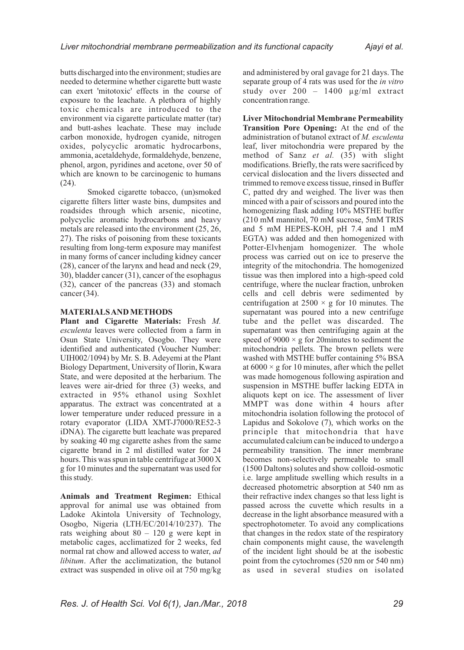butts discharged into the environment; studies are needed to determine whether cigarette butt waste can exert 'mitotoxic' effects in the course of exposure to the leachate. A plethora of highly toxic chemicals are introduced to the environment via cigarette particulate matter (tar) and butt-ashes leachate. These may include carbon monoxide, hydrogen cyanide, nitrogen oxides, polycyclic aromatic hydrocarbons, ammonia, acetaldehyde, formaldehyde, benzene, phenol, argon, pyridines and acetone, over 50 of which are known to be carcinogenic to humans (24).

Smoked cigarette tobacco, (un)smoked cigarette filters litter waste bins, dumpsites and roadsides through which arsenic, nicotine, polycyclic aromatic hydrocarbons and heavy metals are released into the environment (25, 26, 27). The risks of poisoning from these toxicants resulting from long-term exposure may manifest in many forms of cancer including kidney cancer (28), cancer of the larynx and head and neck (29, 30), bladder cancer (31), cancer of the esophagus (32), cancer of the pancreas (33) and stomach cancer  $(34)$ .

#### **MATERIALS AND METHODS**

**Plant and Cigarette Materials:** Fresh *M. esculenta* leaves were collected from a farm in Osun State University, Osogbo. They were identified and authenticated (Voucher Number: UIH002/1094) by Mr. S. B. Adeyemi at the Plant Biology Department, University of Ilorin, Kwara State, and were deposited at the herbarium. The leaves were air-dried for three (3) weeks, and extracted in 95% ethanol using Soxhlet apparatus. The extract was concentrated at a lower temperature under reduced pressure in a rotary evaporator (LIDA XMT-J7000/RE52-3 iDNA). The cigarette butt leachate was prepared by soaking 40 mg cigarette ashes from the same cigarette brand in 2 ml distilled water for 24 hours. This was spun in table centrifuge at 3000 X g for 10 minutes and the supernatant was used for this study.

**Animals and Treatment Regimen:** Ethical approval for animal use was obtained from Ladoke Akintola University of Technology, Osogbo, Nigeria (LTH/EC/2014/10/237). The rats weighing about 80 – 120 g were kept in metabolic cages, acclimatized for 2 weeks, fed normal rat chow and allowed access to water, *ad libitum*. After the acclimatization, the butanol extract was suspended in olive oil at 750 mg/kg and administered by oral gavage for 21 days. The separate group of 4 rats was used for the *in vitro*  study over 200 – 1400 µg/ml extract concentration range.

**Liver Mitochondrial Membrane Permeability Transition Pore Opening:** At the end of the administration of butanol extract of *M. esculenta* leaf, liver mitochondria were prepared by the method of Sanz *et al.* (35) with slight modifications. Briefly, the rats were sacrificed by cervical dislocation and the livers dissected and trimmed to remove excess tissue, rinsed in Buffer C, patted dry and weighed. The liver was then minced with a pair of scissors and poured into the homogenizing flask adding 10% MSTHE buffer (210 mM mannitol, 70 mM sucrose, 5mM TRIS and 5 mM HEPES-KOH, pH 7.4 and 1 mM EGTA) was added and then homogenized with Potter-Elvhenjam homogenizer. The whole process was carried out on ice to preserve the integrity of the mitochondria. The homogenized tissue was then implored into a high-speed cold centrifuge, where the nuclear fraction, unbroken cells and cell debris were sedimented by centrifugation at  $2500 \times g$  for 10 minutes. The supernatant was poured into a new centrifuge tube and the pellet was discarded. The supernatant was then centrifuging again at the speed of  $9000 \times g$  for 20minutes to sediment the mitochondria pellets. The brown pellets were washed with MSTHE buffer containing 5% BSA at  $6000 \times g$  for 10 minutes, after which the pellet was made homogenous following aspiration and suspension in MSTHE buffer lacking EDTA in aliquots kept on ice. The assessment of liver MMPT was done within 4 hours after mitochondria isolation following the protocol of Lapidus and Sokolove (7), which works on the principle that mitochondria that have accumulated calcium can be induced to undergo a permeability transition. The inner membrane becomes non-selectively permeable to small (1500 Daltons) solutes and show colloid-osmotic i.e. large amplitude swelling which results in a decreased photometric absorption at 540 nm as their refractive index changes so that less light is passed across the cuvette which results in a decrease in the light absorbance measured with a spectrophotometer. To avoid any complications that changes in the redox state of the respiratory chain components might cause, the wavelength of the incident light should be at the isobestic point from the cytochromes (520 nm or 540 nm) as used in several studies on isolated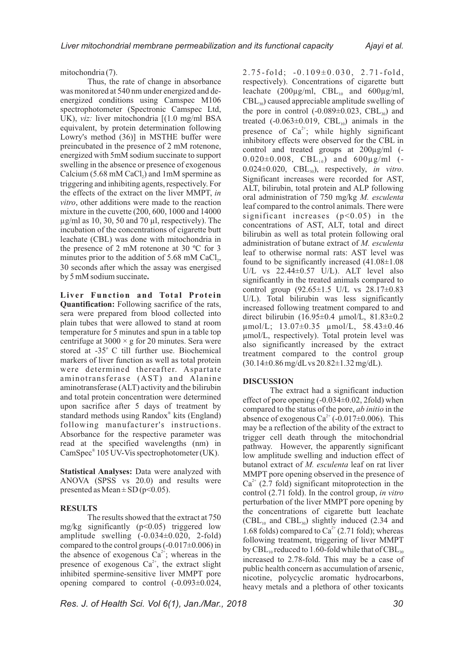mitochondria (7).

Thus, the rate of change in absorbance was monitored at 540 nm under energized and deenergized conditions using Camspec M106 spectrophotometer (Spectronic Camspec Ltd, UK), *viz*: liver mitochondria [(1.0 mg/ml BSA equivalent, by protein determination following Lowry's method (36)] in MSTHE buffer were preincubated in the presence of 2 mM rotenone, energized with 5mM sodium succinate to support swelling in the absence or presence of exogenous Calcium (5.68 mM CaCl<sub>2</sub>) and 1mM spermine as triggering and inhibiting agents, respectively. For the effects of the extract on the liver MMPT, *in vitro*, other additions were made to the reaction mixture in the cuvette (200, 600, 1000 and 14000  $\mu$ g/ml as 10, 30, 50 and 70  $\mu$ l, respectively). The incubation of the concentrations of cigarette butt leachate (CBL) was done with mitochondria in the presence of 2 mM rotenone at 30 ºC for 3 minutes prior to the addition of  $5.68 \text{ mM } CaCl<sub>2</sub>$ , 30 seconds after which the assay was energised by 5 mM sodium succinate**.**

**Live r Func tion and Total Prot e in Quantification:** Following sacrifice of the rats, sera were prepared from blood collected into plain tubes that were allowed to stand at room temperature for 5 minutes and spun in a table top centrifuge at  $3000 \times g$  for 20 minutes. Sera were stored at  $-35^\circ$  C till further use. Biochemical markers of liver function as well as total protein were determined thereafter. Aspartate aminotransferase (AST) and Alanine aminotransferase (ALT) activity and the bilirubin and total protein concentration were determined upon sacrifice after 5 days of treatment by standard methods using Randox® kits (England) following manufacturer's instructions. Absorbance for the respective parameter was read at the specified wavelengths (nm) in  $CamSpec^{\circ} 105$  UV-Vis spectrophotometer (UK).

**Statistical Analyses:** Data were analyzed with ANOVA (SPSS vs 20.0) and results were presented as Mean  $\pm$  SD (p<0.05).

### **RESULTS**

The results showed that the extract at 750 mg/kg significantly  $(p<0.05)$  triggered low amplitude swelling  $(-0.034\pm0.020, 2\text{-fold})$ compared to the control groups  $(-0.017\pm0.006)$  in the absence of exogenous  $Ca^{2+}$ ; whereas in the presence of exogenous  $Ca^{2+}$ , the extract slight inhibited spermine-sensitive liver MMPT pore opening compared to control (-0.093±0.024,  $2.75-fold; -0.109\pm0.030, 2.71-fold,$ respectively). Concentrations of cigarette butt leachate  $(200\mu g/ml, \text{CBL}_{10} \text{ and } 600\mu g/ml,$  $\text{CBL}_{30}$ ) caused appreciable amplitude swelling of the pore in control  $(-0.089 \pm 0.023, \text{CBL}_{30})$  and treated  $(-0.063\pm0.019, \text{ CBL}_{10})$  animals in the presence of  $Ca^{2+}$ ; while highly significant inhibitory effects were observed for the CBL in control and treated groups at 200µg/ml (-  $0.020\pm0.008$ , CBL<sub>10</sub>) and  $600\mu$ g/ml (- $0.024 \pm 0.020$ , CBL<sub>30</sub>), respectively, *in vitro*. Significant increases were recorded for AST, ALT, bilirubin, total protein and ALP following oral administration of 750 mg/kg *M. esculenta*  leaf compared to the control animals. There were significant increases (p<0.05) in the concentrations of AST, ALT, total and direct bilirubin as well as total protein following oral administration of butane extract of *M. esculenta* leaf to otherwise normal rats: AST level was found to be significantly increased  $(41.08\pm1.08$ U/L vs 22.44±0.57 U/L). ALT level also significantly in the treated animals compared to control group (92.65±1.5 U/L vs 28.17±0.83 U/L). Total bilirubin was less significantly increased following treatment compared to and direct bilirubin (16.95±0.4 µmol/L, 81.83±0.2 µmol/L; 13.07±0.35 µmol/L, 58.43±0.46 µmol/L, respectively). Total protein level was also significantly increased by the extract treatment compared to the control group (30.14±0.86 mg/dLvs 20.82±1.32 mg/dL).

#### **DISCUSSION**

The extract had a significant induction effect of pore opening (-0.034±0.02, 2fold) when compared to the status of the pore, *ab initio* in the absence of exogenous Ca<sup>2+</sup> (-0.017 $\pm$ 0.006). This may be a reflection of the ability of the extract to trigger cell death through the mitochondrial pathway. However, the apparently significant low amplitude swelling and induction effect of butanol extract of *M. esculenta* leaf on rat liver MMPT pore opening observed in the presence of  $Ca^{2+}$  (2.7 fold) significant mitoprotection in the control (2.71 fold). In the control group, *in vitro*  perturbation of the liver MMPT pore opening by the concentrations of cigarette butt leachate  $(CBL<sub>10</sub>$  and  $CBL<sub>30</sub>$ ) slightly induced (2.34 and 1.68 folds) compared to  $Ca<sup>2+</sup>$  (2.71 fold); whereas following treatment, triggering of liver MMPT by CBL<sub>10</sub> reduced to 1.60-fold while that of CBL<sub>30</sub> increased to 2.78-fold. This may be a case of public health concern as accumulation of arsenic, nicotine, polycyclic aromatic hydrocarbons, heavy metals and a plethora of other toxicants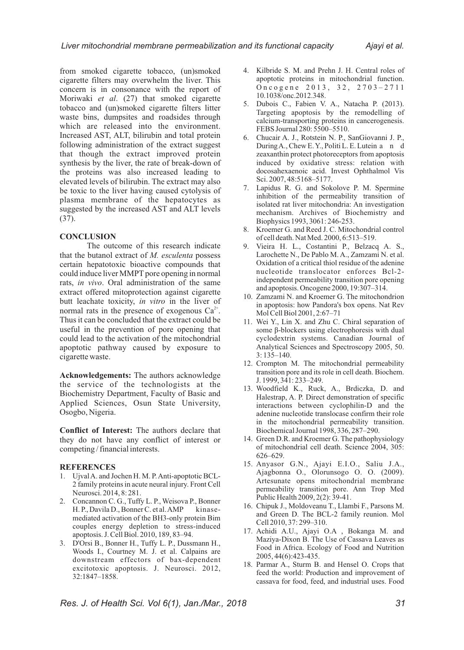from smoked cigarette tobacco, (un)smoked cigarette filters may overwhelm the liver. This concern is in consonance with the report of Moriwaki *et al*. (27) that smoked cigarette tobacco and (un)smoked cigarette filters litter waste bins, dumpsites and roadsides through which are released into the environment. Increased AST, ALT, bilirubin and total protein following administration of the extract suggest that though the extract improved protein synthesis by the liver, the rate of break-down of the proteins was also increased leading to elevated levels of bilirubin. The extract may also be toxic to the liver having caused cytolysis of plasma membrane of the hepatocytes as suggested by the increased AST and ALT levels (37).

#### **CONCLUSION**

The outcome of this research indicate that the butanol extract of *M. esculenta* possess certain hepatotoxic bioactive compounds that could induce liver MMPT pore opening in normal rats, *in vivo*. Oral administration of the same extract offered mitoprotection against cigarette butt leachate toxicity, *in vitro* in the liver of normal rats in the presence of exogenous  $Ca^{2+}$ . Thus it can be concluded that the extract could be useful in the prevention of pore opening that could lead to the activation of the mitochondrial apoptotic pathway caused by exposure to cigarette waste.

**Acknowledgements:** The authors acknowledge the service of the technologists at the Biochemistry Department, Faculty of Basic and Applied Sciences, Osun State University, Osogbo, Nigeria.

**Conflict of Interest:** The authors declare that they do not have any conflict of interest or competing / financial interests.

#### **REFERENCES**

- 1. Ujval A. and Jochen H. M. P. Anti-apoptotic BCL-2 family proteins in acute neural injury. Front Cell Neurosci. 2014, 8: 281.
- 2. Concannon C. G., Tuffy L. P., Weisova P., Bonner H. P., Davila D., Bonner C. et al. AMP kinasemediated activation of the BH3-only protein Bim couples energy depletion to stress-induced apoptosis. J. Cell Biol. 2010, 189, 83–94.
- 3. D'Orsi B., Bonner H., Tuffy L. P., Dussmann H., Woods I., Courtney M. J. et al. Calpains are downstream effectors of bax-dependent excitotoxic apoptosis. J. Neurosci. 2012, 32:1847–1858.
- 4. Kilbride S. M. and Prehn J. H. Central roles of apoptotic proteins in mitochondrial function. Oncogene 2013, 32, 2703-2711 10.1038/onc.2012.348.
- 5. Dubois C., Fabien V. A., Natacha P. (2013). Targeting apoptosis by the remodelling of calcium-transporting proteins in cancerogenesis. FEBS Journal 280: 5500–5510.
- 6. Chucair A. J., Rotstein N. P., SanGiovanni J. P., During A., Chew E.Y., Politi L.E. Lutein a n d zeaxanthin protect photoreceptors from apoptosis induced by oxidative stress: relation with docosahexaenoic acid. Invest Ophthalmol Vis Sci. 2007, 48:5168–5177.
- 7. Lapidus R. G. and Sokolove P. M. Spermine inhibition of the permeability transition of isolated rat liver mitochondria: An investigation mechanism. Archives of Biochemistry and Biophysics 1993, 3061: 246-253.
- 8. Kroemer G. and Reed J. C. Mitochondrial control of cell death. Nat Med. 2000, 6:513–519.
- 9. Vieira H. L., Costantini P., Belzacq A. S., Larochette N., De Pablo M. A., Zamzami N. et al. Oxidation of a critical thiol residue of the adenine nucleotide translocator enforces Bcl-2 independent permeability transition pore opening and apoptosis. Oncogene 2000, 19:307–314.
- 10. Zamzami N. and Kroemer G. The mitochondrion in apoptosis: how Pandora's box opens. Nat Rev Mol Cell Biol 2001, 2:67–71
- 11. Wei Y., Lin X. and Zhu C. Chiral separation of some  $\beta$ -blockers using electrophoresis with dual cyclodextrin systems. Canadian Journal of Analytical Sciences and Spectroscopy 2005, 50. 3: 135–140.
- 12. Crompton M. The mitochondrial permeability transition pore and its role in cell death. Biochem. J. 1999, 341: 233–249.
- 13. Woodfield K., Ruck, A., Brdiczka, D. and Halestrap, A. P. Direct demonstration of specific interactions between cyclophilin-D and the adenine nucleotide translocase confirm their role in the mitochondrial permeability transition. Biochemical Journal 1998, 336, 287–290.
- 14. Green D.R. and Kroemer G. The pathophysiology of mitochondrial cell death. Science 2004, 305: 626–629.
- 15. Anyasor G.N., Ajayi E.I.O., Saliu J.A., Ajagbonna O., Olorunsogo O. O. (2009). Artesunate opens mitochondrial membrane permeability transition pore. Ann Trop Med Public Health 2009, 2(2): 39-41.
- 16. Chipuk J., Moldoveanu T., Llambi F., Parsons M. and Green D. The BCL-2 family reunion. Mol Cell 2010, 37: 299–310.
- 17. Achidi A.U., Ajayi O.A , Bokanga M. and Maziya-Dixon B. The Use of Cassava Leaves as Food in Africa. Ecology of Food and Nutrition 2005, 44(6):423-435.
- 18. Parmar A., Sturm B. and Hensel O. Crops that feed the world: Production and improvement of cassava for food, feed, and industrial uses. Food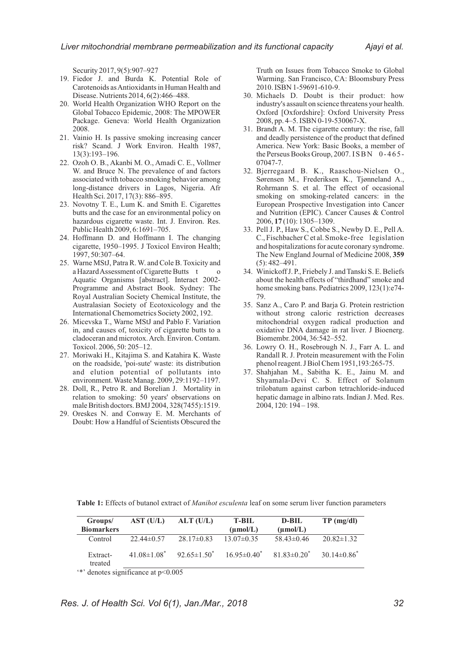Security 2017, 9(5):907–927

- 19. Fiedor J. and Burda K. Potential Role of Carotenoids as Antioxidants in Human Health and Disease. Nutrients 2014, 6(2):466–488.
- 20. World Health Organization WHO Report on the Global Tobacco Epidemic, 2008: The MPOWER Package. Geneva: World Health Organization 2008.
- 21. Vainio H. Is passive smoking increasing cancer risk? Scand. J Work Environ. Health 1987, 13(3):193–196.
- 22. Ozoh O. B., Akanbi M. O., Amadi C. E., Vollmer W. and Bruce N. The prevalence of and factors associated with tobacco smoking behavior among long-distance drivers in Lagos, Nigeria. Afr Health Sci. 2017, 17(3): 886–895.
- 23. Novotny T. E., Lum K. and Smith E. Cigarettes butts and the case for an environmental policy on hazardous cigarette waste. Int. J. Environ. Res. Public Health 2009, 6:1691–705.
- 24. Hoffmann D. and Hoffmann I. The changing cigarette, 1950–1995. J Toxicol Environ Health; 1997, 50:307–64.
- 25. Warne MStJ, Patra R. W. and Cole B. Toxicity and a Hazard Assessment of Cigarette Butts t Aquatic Organisms [abstract]. Interact 2002- Programme and Abstract Book. Sydney: The Royal Australian Society Chemical Institute, the Australasian Society of Ecotoxicology and the International Chemometrics Society 2002, 192.
- 26. Micevska T., Warne MStJ and Pablo F. Variation in, and causes of, toxicity of cigarette butts to a cladoceran and microtox. Arch. Environ. Contam. Toxicol. 2006, 50: 205–12.
- 27. Moriwaki H., Kitajima S. and Katahira K. Waste on the roadside, 'poi-sute' waste: its distribution and elution potential of pollutants into environment. Waste Manag. 2009, 29:1192–1197.
- 28. Doll, R., Petro R. and Borelian J. Mortality in relation to smoking: 50 years' observations on male British doctors. BMJ 2004, 328(7455):1519.
- 29. Oreskes N. and Conway E. M. Merchants of Doubt: How a Handful of Scientists Obscured the

Truth on Issues from Tobacco Smoke to Global Warming. San Francisco, CA: Bloomsbury Press 2010. ISBN 1-59691-610-9.

- 30. Michaels D. Doubt is their product: how industry's assault on science threatens your health. Oxford [Oxfordshire]: Oxford University Press 2008, pp. 4–5. ISBN 0-19-530067-X.
- 31. Brandt A. M. The cigarette century: the rise, fall and deadly persistence of the product that defined America. New York: Basic Books, a member of the Perseus Books Group, 2007. ISBN 0-465-07047-7.
- 32. Bjerregaard B. K., Raaschou-Nielsen O., Sørensen M., Frederiksen K., Tjønneland A., Rohrmann S. et al. The effect of occasional smoking on smoking-related cancers: in the European Prospective Investigation into Cancer and Nutrition (EPIC). Cancer Causes & Control 2006, **17** (10): 1305–1309.
- 33. Pell J. P., Haw S., Cobbe S., Newby D. E., Pell A. C., Fischbacher C et al.Smoke-free legislation and hospitalizations for acute coronary syndrome. The New England Journal of Medicine 2008, **359** (5): 482–491.
- 34. Winickoff J. P., Friebely J. and Tanski S. E. Beliefs about the health effects of "thirdhand" smoke and home smoking bans. Pediatrics 2009, 123(1):e74- 79.
- 35. Sanz A., Caro P. and Barja G. Protein restriction without strong caloric restriction decreases mitochondrial oxygen radical production and oxidative DNA damage in rat liver. J Bioenerg. Biomembr. 2004, 36:542–552.
- 36. Lowry O. H., Rosebrough N. J., Farr A. L. and Randall R. J. Protein measurement with the Folin phenol reagent. J Biol Chem 1951,193:265-75.
- 37. Shahjahan M., Sabitha K. E., Jainu M. and Shyamala-Devi C. S. Effect of Solanum trilobatum against carbon tetrachloride-induced hepatic damage in albino rats. Indian J. Med. Res. 2004, 120: 194 – 198.

**Table 1:** Effects of butanol extract of *Manihot esculenta* leaf on some serum liver function parameters

| Groups/             | AST (U/L)          | ALT (U/L)          | <b>T-BIL</b>         | D-BIL                | $TP$ (mg/dl)     |
|---------------------|--------------------|--------------------|----------------------|----------------------|------------------|
| <b>Biomarkers</b>   |                    |                    | $(\mu \text{mol/L})$ | $(\mu \text{mol/L})$ |                  |
| Control             | $22.44\pm 0.57$    | $28.17\pm0.83$     | $13.07\pm0.35$       | $58.43\pm0.46$       | $20.82 \pm 1.32$ |
| Extract-<br>treated | $41.08 \pm 1.08^*$ | $92.65 \pm 1.50^*$ | $16.95 \pm 0.40^*$   | $81.83\pm0.20^*$     | $30.14\pm0.86^*$ |

'\*' denotes significance at p<0.005

*Res. J. of Health Sci. Vol 6(1), Jan./Mar., 2018 32*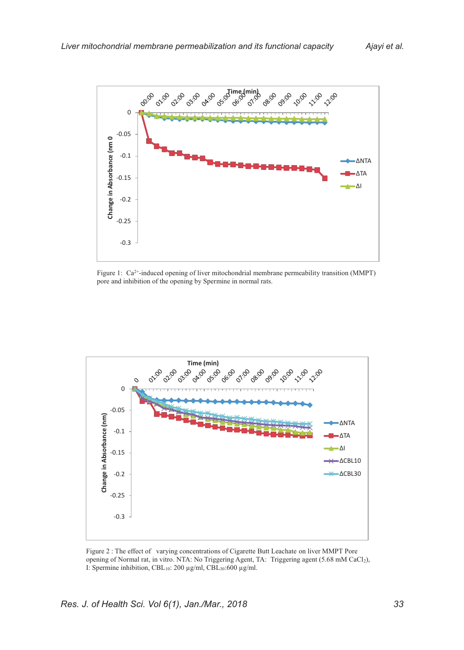

Figure 1: Ca<sup>2+</sup>-induced opening of liver mitochondrial membrane permeability transition (MMPT) pore and inhibition of the opening by Spermine in normal rats.



Figure 2 : The effect of varying concentrations of Cigarette Butt Leachate on liver MMPT Pore opening of Normal rat, in vitro. NTA: No Triggering Agent, TA: Triggering agent (5.68 mM CaCl2), I: Spermine inhibition, CBL10: 200 µg/ml, CBL30:600 µg/ml.